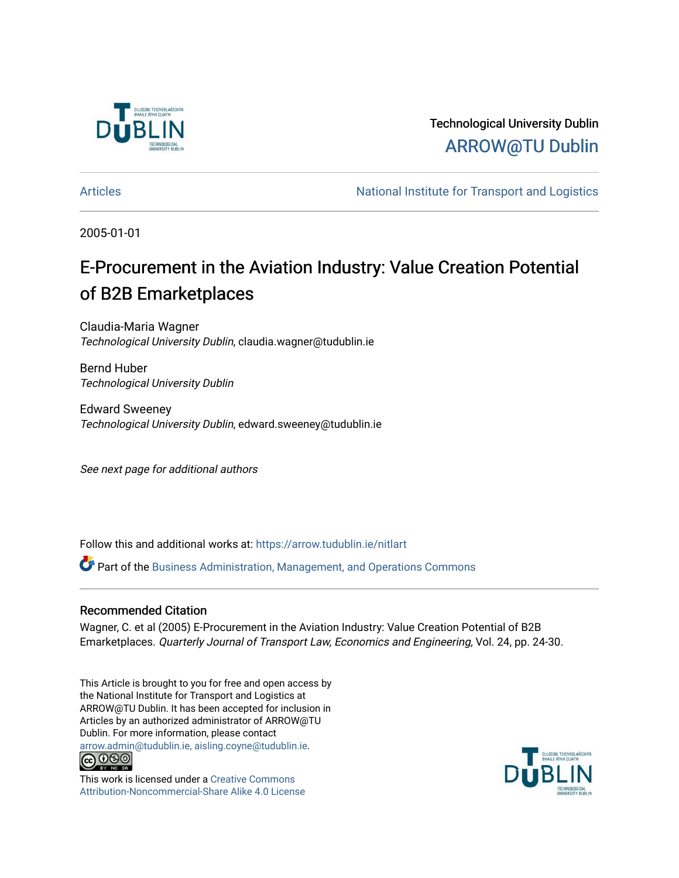

Technological University Dublin [ARROW@TU Dublin](https://arrow.tudublin.ie/) 

[Articles](https://arrow.tudublin.ie/nitlart) **National Institute for Transport and Logistics** Articles

2005-01-01

# E-Procurement in the Aviation Industry: Value Creation Potential of B2B Emarketplaces

Claudia-Maria Wagner Technological University Dublin, claudia.wagner@tudublin.ie

Bernd Huber Technological University Dublin

Edward Sweeney Technological University Dublin, edward.sweeney@tudublin.ie

See next page for additional authors

Follow this and additional works at: [https://arrow.tudublin.ie/nitlart](https://arrow.tudublin.ie/nitlart?utm_source=arrow.tudublin.ie%2Fnitlart%2F8&utm_medium=PDF&utm_campaign=PDFCoverPages) 

Part of the [Business Administration, Management, and Operations Commons](http://network.bepress.com/hgg/discipline/623?utm_source=arrow.tudublin.ie%2Fnitlart%2F8&utm_medium=PDF&utm_campaign=PDFCoverPages)

#### Recommended Citation

Wagner, C. et al (2005) E-Procurement in the Aviation Industry: Value Creation Potential of B2B Emarketplaces. Quarterly Journal of Transport Law, Economics and Engineering, Vol. 24, pp. 24-30.

This Article is brought to you for free and open access by the National Institute for Transport and Logistics at ARROW@TU Dublin. It has been accepted for inclusion in Articles by an authorized administrator of ARROW@TU Dublin. For more information, please contact [arrow.admin@tudublin.ie, aisling.coyne@tudublin.ie](mailto:arrow.admin@tudublin.ie,%20aisling.coyne@tudublin.ie).



This work is licensed under a [Creative Commons](http://creativecommons.org/licenses/by-nc-sa/4.0/) [Attribution-Noncommercial-Share Alike 4.0 License](http://creativecommons.org/licenses/by-nc-sa/4.0/)

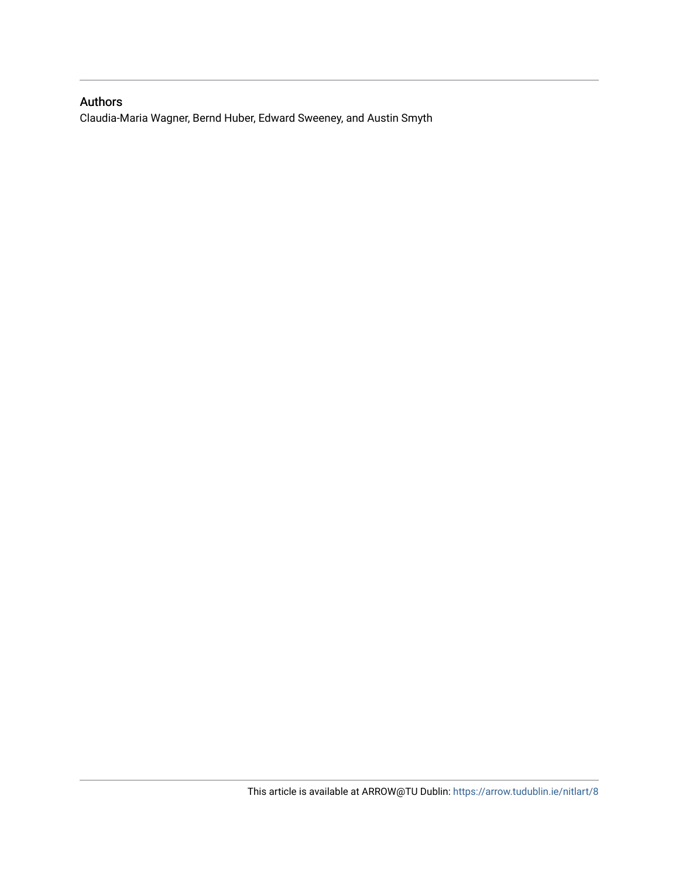## Authors

Claudia-Maria Wagner, Bernd Huber, Edward Sweeney, and Austin Smyth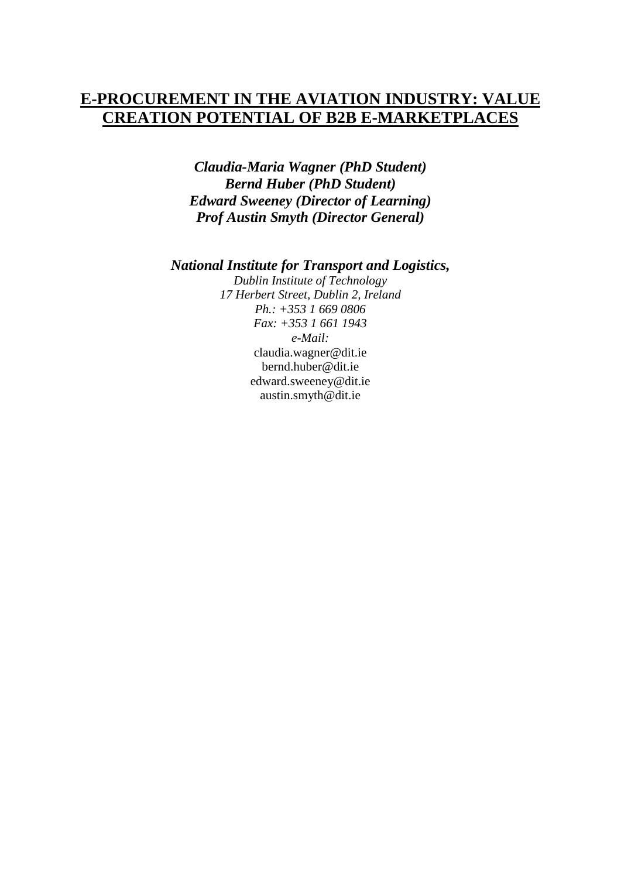## **E-PROCUREMENT IN THE AVIATION INDUSTRY: VALUE CREATION POTENTIAL OF B2B E-MARKETPLACES**

*Claudia-Maria Wagner (PhD Student) Bernd Huber (PhD Student) Edward Sweeney (Director of Learning) Prof Austin Smyth (Director General)*

*National Institute for Transport and Logistics,*

*Dublin Institute of Technology 17 Herbert Street, Dublin 2, Ireland Ph.: +353 1 669 0806 Fax: +353 1 661 1943 e-Mail:* [claudia.wagner@dit.ie](mailto:claudia.wagner@dit.ie) [bernd.huber@dit.ie](mailto:bernd.huber@dit.ie) [edward.sweeney@dit.ie](mailto:edward.sweeney@dit.ie) austin.smyth@dit.ie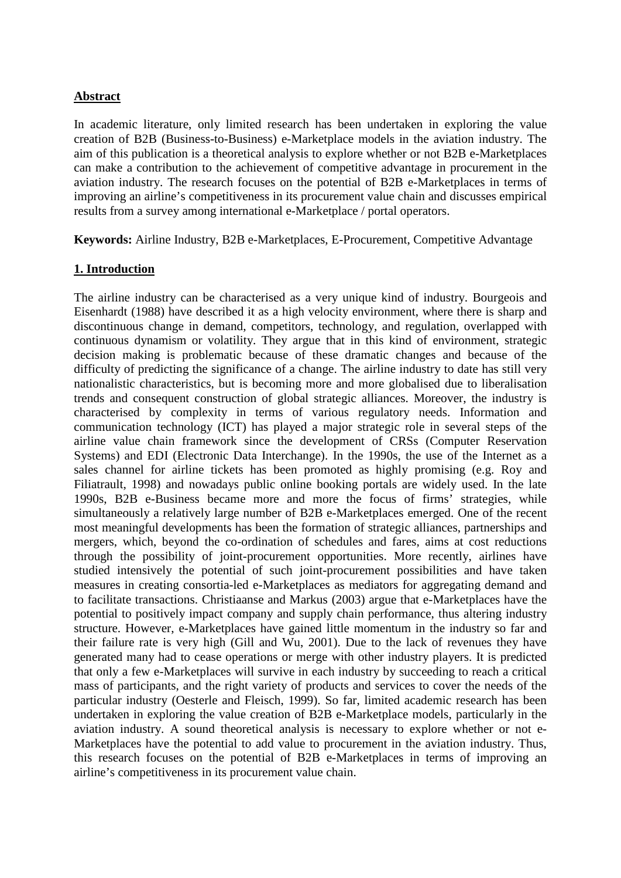### **Abstract**

In academic literature, only limited research has been undertaken in exploring the value creation of B2B (Business-to-Business) e-Marketplace models in the aviation industry. The aim of this publication is a theoretical analysis to explore whether or not B2B e-Marketplaces can make a contribution to the achievement of competitive advantage in procurement in the aviation industry. The research focuses on the potential of B2B e-Marketplaces in terms of improving an airline's competitiveness in its procurement value chain and discusses empirical results from a survey among international e-Marketplace / portal operators.

**Keywords:** Airline Industry, B2B e-Marketplaces, E-Procurement, Competitive Advantage

#### **1. Introduction**

The airline industry can be characterised as a very unique kind of industry. Bourgeois and Eisenhardt (1988) have described it as a high velocity environment, where there is sharp and discontinuous change in demand, competitors, technology, and regulation, overlapped with continuous dynamism or volatility. They argue that in this kind of environment, strategic decision making is problematic because of these dramatic changes and because of the difficulty of predicting the significance of a change. The airline industry to date has still very nationalistic characteristics, but is becoming more and more globalised due to liberalisation trends and consequent construction of global strategic alliances. Moreover, the industry is characterised by complexity in terms of various regulatory needs. Information and communication technology (ICT) has played a major strategic role in several steps of the airline value chain framework since the development of CRSs (Computer Reservation Systems) and EDI (Electronic Data Interchange). In the 1990s, the use of the Internet as a sales channel for airline tickets has been promoted as highly promising (e.g. Roy and Filiatrault, 1998) and nowadays public online booking portals are widely used. In the late 1990s, B2B e-Business became more and more the focus of firms' strategies, while simultaneously a relatively large number of B2B e-Marketplaces emerged. One of the recent most meaningful developments has been the formation of strategic alliances, partnerships and mergers, which, beyond the co-ordination of schedules and fares, aims at cost reductions through the possibility of joint-procurement opportunities. More recently, airlines have studied intensively the potential of such joint-procurement possibilities and have taken measures in creating consortia-led e-Marketplaces as mediators for aggregating demand and to facilitate transactions. Christiaanse and Markus (2003) argue that e-Marketplaces have the potential to positively impact company and supply chain performance, thus altering industry structure. However, e-Marketplaces have gained little momentum in the industry so far and their failure rate is very high (Gill and Wu, 2001). Due to the lack of revenues they have generated many had to cease operations or merge with other industry players. It is predicted that only a few e-Marketplaces will survive in each industry by succeeding to reach a critical mass of participants, and the right variety of products and services to cover the needs of the particular industry (Oesterle and Fleisch, 1999). So far, limited academic research has been undertaken in exploring the value creation of B2B e-Marketplace models, particularly in the aviation industry. A sound theoretical analysis is necessary to explore whether or not e-Marketplaces have the potential to add value to procurement in the aviation industry. Thus, this research focuses on the potential of B2B e-Marketplaces in terms of improving an airline's competitiveness in its procurement value chain.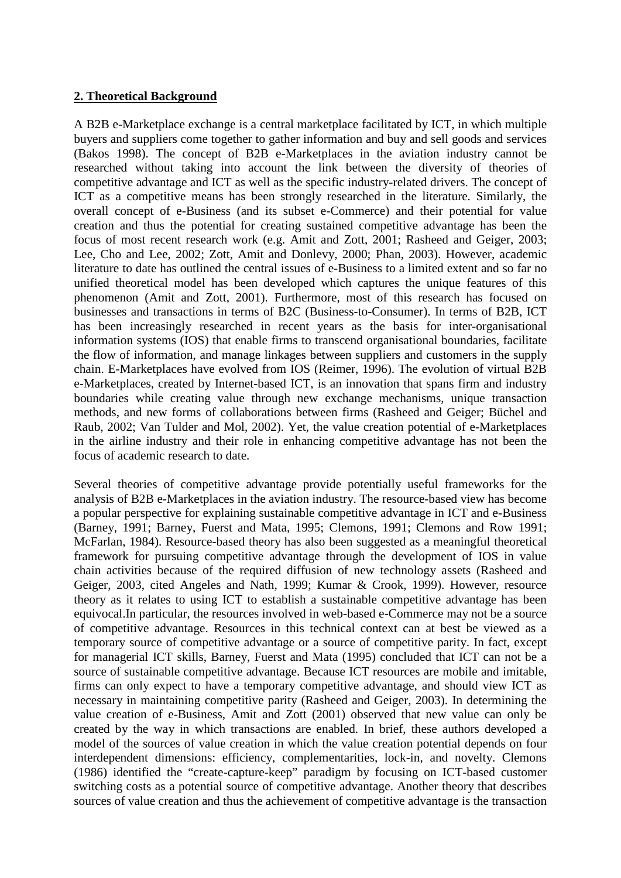### **2. Theoretical Background**

A B2B e-Marketplace exchange is a central marketplace facilitated by ICT, in which multiple buyers and suppliers come together to gather information and buy and sell goods and services (Bakos 1998). The concept of B2B e-Marketplaces in the aviation industry cannot be researched without taking into account the link between the diversity of theories of competitive advantage and ICT as well as the specific industry-related drivers. The concept of ICT as a competitive means has been strongly researched in the literature. Similarly, the overall concept of e-Business (and its subset e-Commerce) and their potential for value creation and thus the potential for creating sustained competitive advantage has been the focus of most recent research work (e.g. Amit and Zott, 2001; Rasheed and Geiger, 2003; Lee, Cho and Lee, 2002; Zott, Amit and Donlevy, 2000; Phan, 2003). However, academic literature to date has outlined the central issues of e-Business to a limited extent and so far no unified theoretical model has been developed which captures the unique features of this phenomenon (Amit and Zott, 2001). Furthermore, most of this research has focused on businesses and transactions in terms of B2C (Business-to-Consumer). In terms of B2B, ICT has been increasingly researched in recent years as the basis for inter-organisational information systems (IOS) that enable firms to transcend organisational boundaries, facilitate the flow of information, and manage linkages between suppliers and customers in the supply chain. E-Marketplaces have evolved from IOS (Reimer, 1996). The evolution of virtual B2B e-Marketplaces, created by Internet-based ICT, is an innovation that spans firm and industry boundaries while creating value through new exchange mechanisms, unique transaction methods, and new forms of collaborations between firms (Rasheed and Geiger; Büchel and Raub, 2002; Van Tulder and Mol, 2002). Yet, the value creation potential of e-Marketplaces in the airline industry and their role in enhancing competitive advantage has not been the focus of academic research to date.

Several theories of competitive advantage provide potentially useful frameworks for the analysis of B2B e-Marketplaces in the aviation industry. The resource-based view has become a popular perspective for explaining sustainable competitive advantage in ICT and e-Business (Barney, 1991; Barney, Fuerst and Mata, 1995; Clemons, 1991; Clemons and Row 1991; McFarlan, 1984). Resource-based theory has also been suggested as a meaningful theoretical framework for pursuing competitive advantage through the development of IOS in value chain activities because of the required diffusion of new technology assets (Rasheed and Geiger, 2003, cited Angeles and Nath, 1999; Kumar & Crook, 1999). However, resource theory as it relates to using ICT to establish a sustainable competitive advantage has been equivocal.In particular, the resources involved in web-based e-Commerce may not be a source of competitive advantage. Resources in this technical context can at best be viewed as a temporary source of competitive advantage or a source of competitive parity. In fact, except for managerial ICT skills, Barney, Fuerst and Mata (1995) concluded that ICT can not be a source of sustainable competitive advantage. Because ICT resources are mobile and imitable, firms can only expect to have a temporary competitive advantage, and should view ICT as necessary in maintaining competitive parity (Rasheed and Geiger, 2003). In determining the value creation of e-Business, Amit and Zott (2001) observed that new value can only be created by the way in which transactions are enabled. In brief, these authors developed a model of the sources of value creation in which the value creation potential depends on four interdependent dimensions: efficiency, complementarities, lock-in, and novelty. Clemons (1986) identified the "create-capture-keep" paradigm by focusing on ICT-based customer switching costs as a potential source of competitive advantage. Another theory that describes sources of value creation and thus the achievement of competitive advantage is the transaction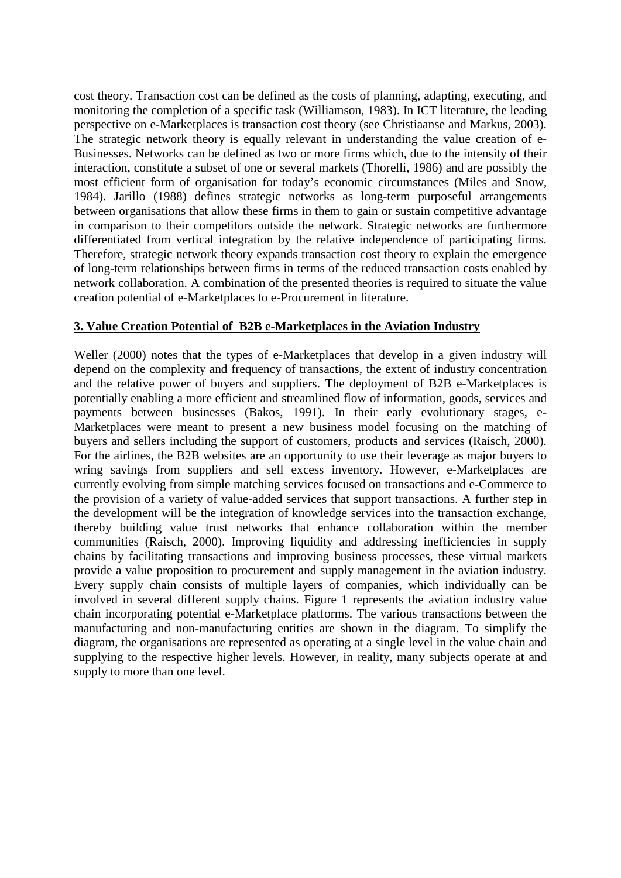cost theory. Transaction cost can be defined as the costs of planning, adapting, executing, and monitoring the completion of a specific task (Williamson, 1983). In ICT literature, the leading perspective on e-Marketplaces is transaction cost theory (see Christiaanse and Markus, 2003). The strategic network theory is equally relevant in understanding the value creation of e-Businesses. Networks can be defined as two or more firms which, due to the intensity of their interaction, constitute a subset of one or several markets (Thorelli, 1986) and are possibly the most efficient form of organisation for today's economic circumstances (Miles and Snow, 1984). Jarillo (1988) defines strategic networks as long-term purposeful arrangements between organisations that allow these firms in them to gain or sustain competitive advantage in comparison to their competitors outside the network. Strategic networks are furthermore differentiated from vertical integration by the relative independence of participating firms. Therefore, strategic network theory expands transaction cost theory to explain the emergence of long-term relationships between firms in terms of the reduced transaction costs enabled by network collaboration. A combination of the presented theories is required to situate the value creation potential of e-Marketplaces to e-Procurement in literature.

### **3. Value Creation Potential of B2B e-Marketplaces in the Aviation Industry**

Weller (2000) notes that the types of e-Marketplaces that develop in a given industry will depend on the complexity and frequency of transactions, the extent of industry concentration and the relative power of buyers and suppliers. The deployment of B2B e-Marketplaces is potentially enabling a more efficient and streamlined flow of information, goods, services and payments between businesses (Bakos, 1991). In their early evolutionary stages, e-Marketplaces were meant to present a new business model focusing on the matching of buyers and sellers including the support of customers, products and services (Raisch, 2000). For the airlines, the B2B websites are an opportunity to use their leverage as major buyers to wring savings from suppliers and sell excess inventory. However, e-Marketplaces are currently evolving from simple matching services focused on transactions and e-Commerce to the provision of a variety of value-added services that support transactions. A further step in the development will be the integration of knowledge services into the transaction exchange, thereby building value trust networks that enhance collaboration within the member communities (Raisch, 2000). Improving liquidity and addressing inefficiencies in supply chains by facilitating transactions and improving business processes, these virtual markets provide a value proposition to procurement and supply management in the aviation industry. Every supply chain consists of multiple layers of companies, which individually can be involved in several different supply chains. Figure 1 represents the aviation industry value chain incorporating potential e-Marketplace platforms. The various transactions between the manufacturing and non-manufacturing entities are shown in the diagram. To simplify the diagram, the organisations are represented as operating at a single level in the value chain and supplying to the respective higher levels. However, in reality, many subjects operate at and supply to more than one level.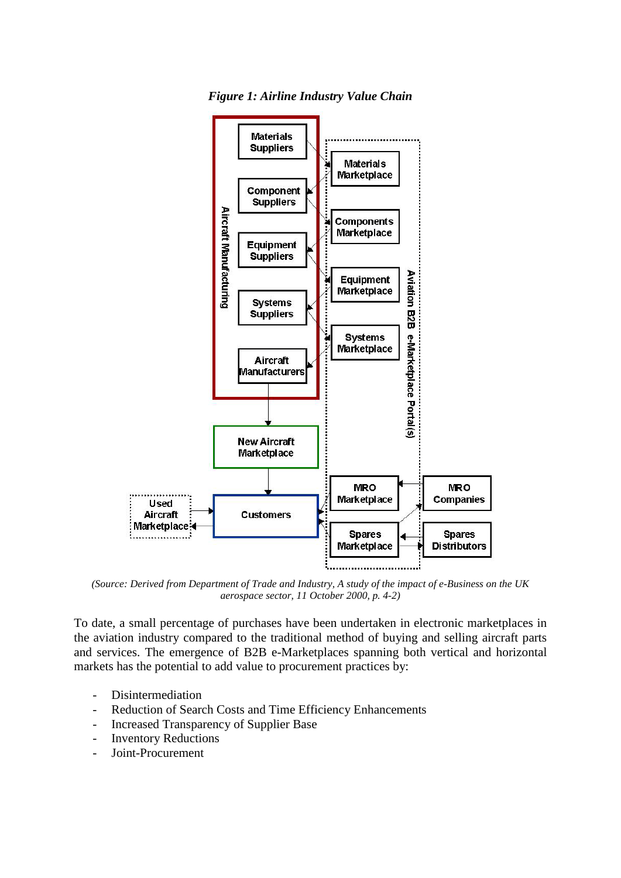*Figure 1: Airline Industry Value Chain*



*(Source: Derived from Department of Trade and Industry, A study of the impact of e-Business on the UK aerospace sector, 11 October 2000, p. 4-2)*

To date, a small percentage of purchases have been undertaken in electronic marketplaces in the aviation industry compared to the traditional method of buying and selling aircraft parts and services. The emergence of B2B e-Marketplaces spanning both vertical and horizontal markets has the potential to add value to procurement practices by:

- Disintermediation
- Reduction of Search Costs and Time Efficiency Enhancements
- Increased Transparency of Supplier Base
- Inventory Reductions
- Joint-Procurement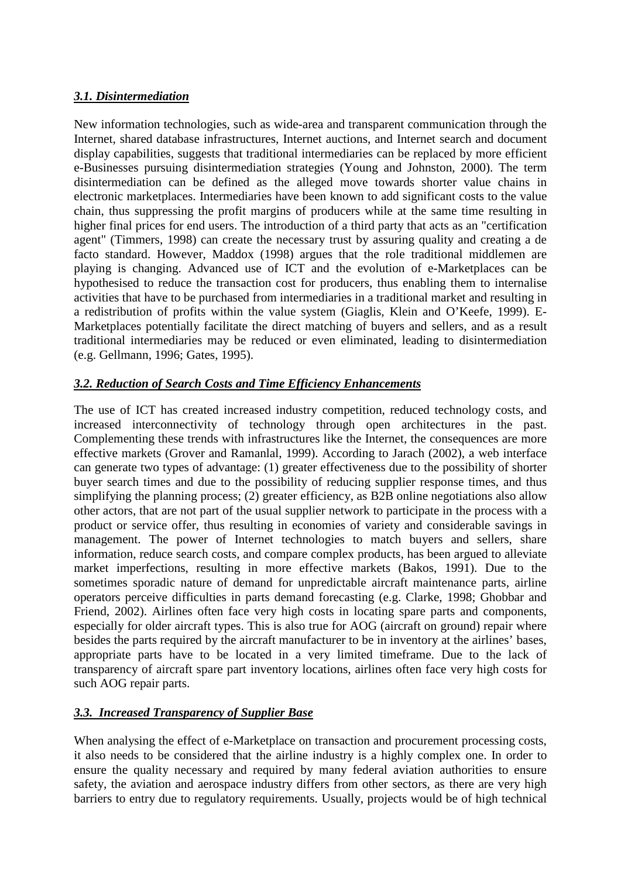## *3.1. Disintermediation*

New information technologies, such as wide-area and transparent communication through the Internet, shared database infrastructures, Internet auctions, and Internet search and document display capabilities, suggests that traditional intermediaries can be replaced by more efficient e-Businesses pursuing disintermediation strategies (Young and Johnston, 2000). The term disintermediation can be defined as the alleged move towards shorter value chains in electronic marketplaces. Intermediaries have been known to add significant costs to the value chain, thus suppressing the profit margins of producers while at the same time resulting in higher final prices for end users. The introduction of a third party that acts as an "certification agent" (Timmers, 1998) can create the necessary trust by assuring quality and creating a de facto standard. However, Maddox (1998) argues that the role traditional middlemen are playing is changing. Advanced use of ICT and the evolution of e-Marketplaces can be hypothesised to reduce the transaction cost for producers, thus enabling them to internalise activities that have to be purchased from intermediaries in a traditional market and resulting in a redistribution of profits within the value system (Giaglis, Klein and O'Keefe, 1999). E-Marketplaces potentially facilitate the direct matching of buyers and sellers, and as a result traditional intermediaries may be reduced or even eliminated, leading to disintermediation (e.g. Gellmann, 1996; Gates, 1995).

## *3.2. Reduction of Search Costs and Time Efficiency Enhancements*

The use of ICT has created increased industry competition, reduced technology costs, and increased interconnectivity of technology through open architectures in the past. Complementing these trends with infrastructures like the Internet, the consequences are more effective markets (Grover and Ramanlal, 1999). According to Jarach (2002), a web interface can generate two types of advantage: (1) greater effectiveness due to the possibility of shorter buyer search times and due to the possibility of reducing supplier response times, and thus simplifying the planning process; (2) greater efficiency, as B2B online negotiations also allow other actors, that are not part of the usual supplier network to participate in the process with a product or service offer, thus resulting in economies of variety and considerable savings in management. The power of Internet technologies to match buyers and sellers, share information, reduce search costs, and compare complex products, has been argued to alleviate market imperfections, resulting in more effective markets (Bakos, 1991). Due to the sometimes sporadic nature of demand for unpredictable aircraft maintenance parts, airline operators perceive difficulties in parts demand forecasting (e.g. Clarke, 1998; Ghobbar and Friend, 2002). Airlines often face very high costs in locating spare parts and components, especially for older aircraft types. This is also true for AOG (aircraft on ground) repair where besides the parts required by the aircraft manufacturer to be in inventory at the airlines' bases, appropriate parts have to be located in a very limited timeframe. Due to the lack of transparency of aircraft spare part inventory locations, airlines often face very high costs for such AOG repair parts.

## *3.3. Increased Transparency of Supplier Base*

When analysing the effect of e-Marketplace on transaction and procurement processing costs, it also needs to be considered that the airline industry is a highly complex one. In order to ensure the quality necessary and required by many federal aviation authorities to ensure safety, the aviation and aerospace industry differs from other sectors, as there are very high barriers to entry due to regulatory requirements. Usually, projects would be of high technical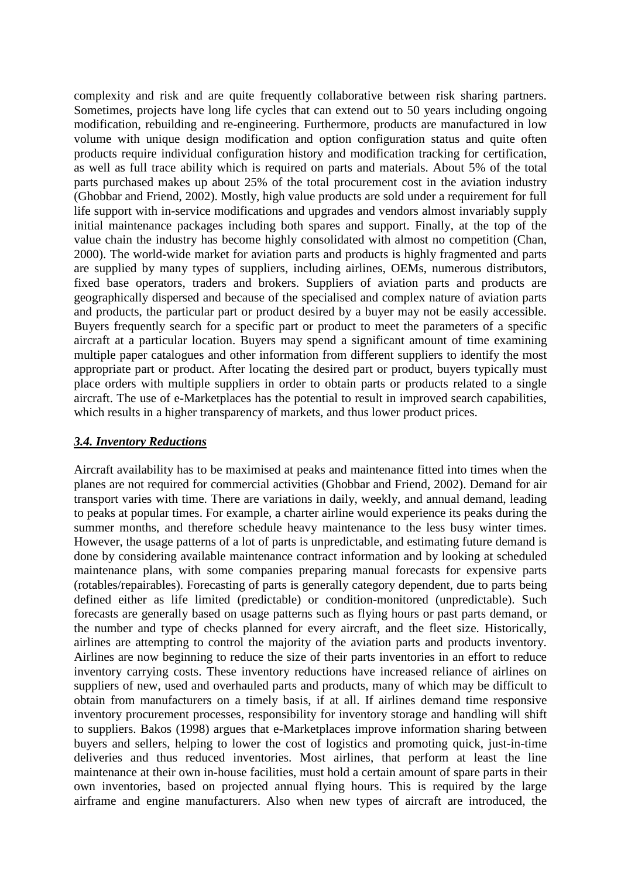complexity and risk and are quite frequently collaborative between risk sharing partners. Sometimes, projects have long life cycles that can extend out to 50 years including ongoing modification, rebuilding and re-engineering. Furthermore, products are manufactured in low volume with unique design modification and option configuration status and quite often products require individual configuration history and modification tracking for certification, as well as full trace ability which is required on parts and materials. About 5% of the total parts purchased makes up about 25% of the total procurement cost in the aviation industry (Ghobbar and Friend, 2002). Mostly, high value products are sold under a requirement for full life support with in-service modifications and upgrades and vendors almost invariably supply initial maintenance packages including both spares and support. Finally, at the top of the value chain the industry has become highly consolidated with almost no competition (Chan, 2000). The world-wide market for aviation parts and products is highly fragmented and parts are supplied by many types of suppliers, including airlines, OEMs, numerous distributors, fixed base operators, traders and brokers. Suppliers of aviation parts and products are geographically dispersed and because of the specialised and complex nature of aviation parts and products, the particular part or product desired by a buyer may not be easily accessible. Buyers frequently search for a specific part or product to meet the parameters of a specific aircraft at a particular location. Buyers may spend a significant amount of time examining multiple paper catalogues and other information from different suppliers to identify the most appropriate part or product. After locating the desired part or product, buyers typically must place orders with multiple suppliers in order to obtain parts or products related to a single aircraft. The use of e-Marketplaces has the potential to result in improved search capabilities, which results in a higher transparency of markets, and thus lower product prices.

## *3.4. Inventory Reductions*

Aircraft availability has to be maximised at peaks and maintenance fitted into times when the planes are not required for commercial activities (Ghobbar and Friend, 2002). Demand for air transport varies with time. There are variations in daily, weekly, and annual demand, leading to peaks at popular times. For example, a charter airline would experience its peaks during the summer months, and therefore schedule heavy maintenance to the less busy winter times. However, the usage patterns of a lot of parts is unpredictable, and estimating future demand is done by considering available maintenance contract information and by looking at scheduled maintenance plans, with some companies preparing manual forecasts for expensive parts (rotables/repairables). Forecasting of parts is generally category dependent, due to parts being defined either as life limited (predictable) or condition-monitored (unpredictable). Such forecasts are generally based on usage patterns such as flying hours or past parts demand, or the number and type of checks planned for every aircraft, and the fleet size. Historically, airlines are attempting to control the majority of the aviation parts and products inventory. Airlines are now beginning to reduce the size of their parts inventories in an effort to reduce inventory carrying costs. These inventory reductions have increased reliance of airlines on suppliers of new, used and overhauled parts and products, many of which may be difficult to obtain from manufacturers on a timely basis, if at all. If airlines demand time responsive inventory procurement processes, responsibility for inventory storage and handling will shift to suppliers. Bakos (1998) argues that e-Marketplaces improve information sharing between buyers and sellers, helping to lower the cost of logistics and promoting quick, just-in-time deliveries and thus reduced inventories. Most airlines, that perform at least the line maintenance at their own in-house facilities, must hold a certain amount of spare parts in their own inventories, based on projected annual flying hours. This is required by the large airframe and engine manufacturers. Also when new types of aircraft are introduced, the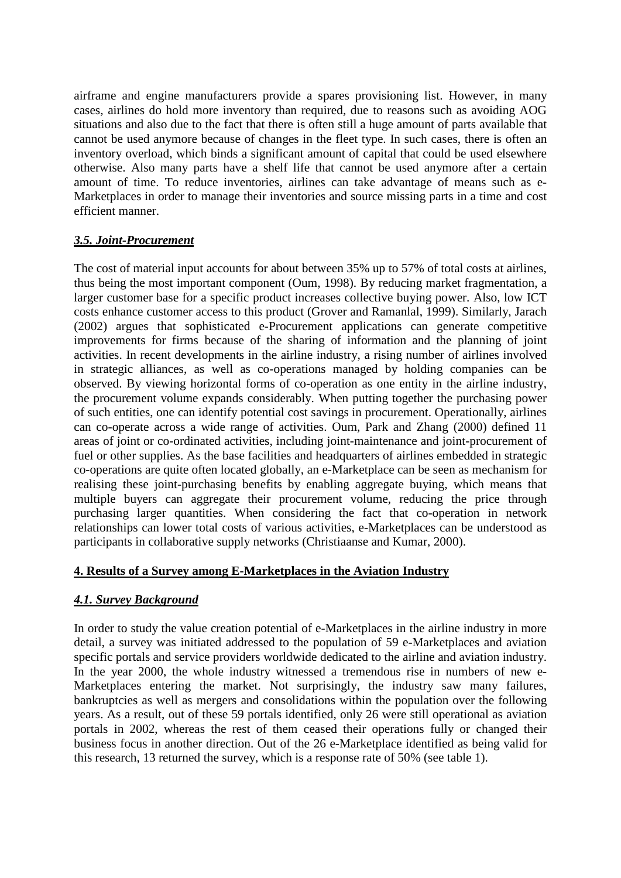airframe and engine manufacturers provide a spares provisioning list. However, in many cases, airlines do hold more inventory than required, due to reasons such as avoiding AOG situations and also due to the fact that there is often still a huge amount of parts available that cannot be used anymore because of changes in the fleet type. In such cases, there is often an inventory overload, which binds a significant amount of capital that could be used elsewhere otherwise. Also many parts have a shelf life that cannot be used anymore after a certain amount of time. To reduce inventories, airlines can take advantage of means such as e-Marketplaces in order to manage their inventories and source missing parts in a time and cost efficient manner.

## *3.5. Joint-Procurement*

The cost of material input accounts for about between 35% up to 57% of total costs at airlines, thus being the most important component (Oum, 1998). By reducing market fragmentation, a larger customer base for a specific product increases collective buying power. Also, low ICT costs enhance customer access to this product (Grover and Ramanlal, 1999). Similarly, Jarach (2002) argues that sophisticated e-Procurement applications can generate competitive improvements for firms because of the sharing of information and the planning of joint activities. In recent developments in the airline industry, a rising number of airlines involved in strategic alliances, as well as co-operations managed by holding companies can be observed. By viewing horizontal forms of co-operation as one entity in the airline industry, the procurement volume expands considerably. When putting together the purchasing power of such entities, one can identify potential cost savings in procurement. Operationally, airlines can co-operate across a wide range of activities. Oum, Park and Zhang (2000) defined 11 areas of joint or co-ordinated activities, including joint-maintenance and joint-procurement of fuel or other supplies. As the base facilities and headquarters of airlines embedded in strategic co-operations are quite often located globally, an e-Marketplace can be seen as mechanism for realising these joint-purchasing benefits by enabling aggregate buying, which means that multiple buyers can aggregate their procurement volume, reducing the price through purchasing larger quantities. When considering the fact that co-operation in network relationships can lower total costs of various activities, e-Marketplaces can be understood as participants in collaborative supply networks (Christiaanse and Kumar, 2000).

## **4. Results of a Survey among E-Marketplaces in the Aviation Industry**

## *4.1. Survey Background*

In order to study the value creation potential of e-Marketplaces in the airline industry in more detail, a survey was initiated addressed to the population of 59 e-Marketplaces and aviation specific portals and service providers worldwide dedicated to the airline and aviation industry. In the year 2000, the whole industry witnessed a tremendous rise in numbers of new e-Marketplaces entering the market. Not surprisingly, the industry saw many failures, bankruptcies as well as mergers and consolidations within the population over the following years. As a result, out of these 59 portals identified, only 26 were still operational as aviation portals in 2002, whereas the rest of them ceased their operations fully or changed their business focus in another direction. Out of the 26 e-Marketplace identified as being valid for this research, 13 returned the survey, which is a response rate of 50% (see table 1).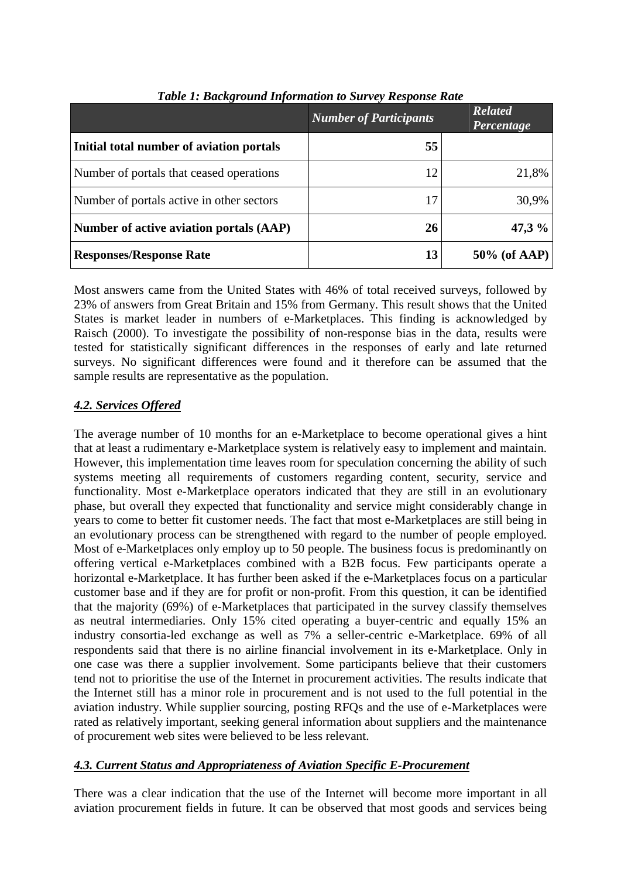|                                           | <b>Number of Participants</b> | <b>Related</b><br>Percentage |
|-------------------------------------------|-------------------------------|------------------------------|
| Initial total number of aviation portals  | 55                            |                              |
| Number of portals that ceased operations  | 12                            | 21,8%                        |
| Number of portals active in other sectors | 17                            | 30,9%                        |
| Number of active aviation portals (AAP)   | 26                            | 47,3 $%$                     |
| <b>Responses/Response Rate</b>            | 13                            | $50\%$ (of AAP)              |

*Table 1: Background Information to Survey Response Rate*

Most answers came from the United States with 46% of total received surveys, followed by 23% of answers from Great Britain and 15% from Germany. This result shows that the United States is market leader in numbers of e-Marketplaces. This finding is acknowledged by Raisch (2000). To investigate the possibility of non-response bias in the data, results were tested for statistically significant differences in the responses of early and late returned surveys. No significant differences were found and it therefore can be assumed that the sample results are representative as the population.

## *4.2. Services Offered*

The average number of 10 months for an e-Marketplace to become operational gives a hint that at least a rudimentary e-Marketplace system is relatively easy to implement and maintain. However, this implementation time leaves room for speculation concerning the ability of such systems meeting all requirements of customers regarding content, security, service and functionality. Most e-Marketplace operators indicated that they are still in an evolutionary phase, but overall they expected that functionality and service might considerably change in years to come to better fit customer needs. The fact that most e-Marketplaces are still being in an evolutionary process can be strengthened with regard to the number of people employed. Most of e-Marketplaces only employ up to 50 people. The business focus is predominantly on offering vertical e-Marketplaces combined with a B2B focus. Few participants operate a horizontal e-Marketplace. It has further been asked if the e-Marketplaces focus on a particular customer base and if they are for profit or non-profit. From this question, it can be identified that the majority (69%) of e-Marketplaces that participated in the survey classify themselves as neutral intermediaries. Only 15% cited operating a buyer-centric and equally 15% an industry consortia-led exchange as well as 7% a seller-centric e-Marketplace. 69% of all respondents said that there is no airline financial involvement in its e-Marketplace. Only in one case was there a supplier involvement. Some participants believe that their customers tend not to prioritise the use of the Internet in procurement activities. The results indicate that the Internet still has a minor role in procurement and is not used to the full potential in the aviation industry. While supplier sourcing, posting RFQs and the use of e-Marketplaces were rated as relatively important, seeking general information about suppliers and the maintenance of procurement web sites were believed to be less relevant.

## *4.3. Current Status and Appropriateness of Aviation Specific E-Procurement*

There was a clear indication that the use of the Internet will become more important in all aviation procurement fields in future. It can be observed that most goods and services being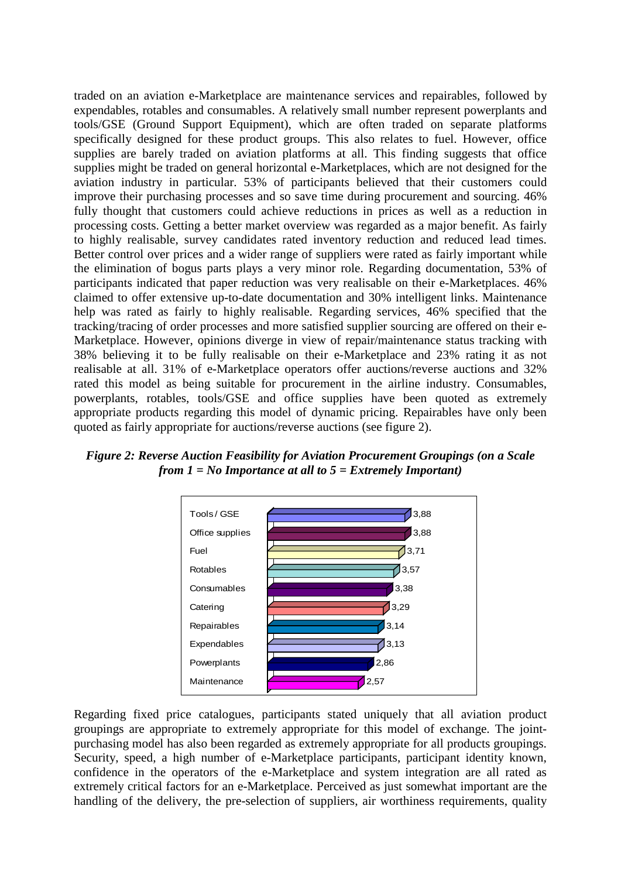traded on an aviation e-Marketplace are maintenance services and repairables, followed by expendables, rotables and consumables. A relatively small number represent powerplants and tools/GSE (Ground Support Equipment), which are often traded on separate platforms specifically designed for these product groups. This also relates to fuel. However, office supplies are barely traded on aviation platforms at all. This finding suggests that office supplies might be traded on general horizontal e-Marketplaces, which are not designed for the aviation industry in particular. 53% of participants believed that their customers could improve their purchasing processes and so save time during procurement and sourcing. 46% fully thought that customers could achieve reductions in prices as well as a reduction in processing costs. Getting a better market overview was regarded as a major benefit. As fairly to highly realisable, survey candidates rated inventory reduction and reduced lead times. Better control over prices and a wider range of suppliers were rated as fairly important while the elimination of bogus parts plays a very minor role. Regarding documentation, 53% of participants indicated that paper reduction was very realisable on their e-Marketplaces. 46% claimed to offer extensive up-to-date documentation and 30% intelligent links. Maintenance help was rated as fairly to highly realisable. Regarding services, 46% specified that the tracking/tracing of order processes and more satisfied supplier sourcing are offered on their e-Marketplace. However, opinions diverge in view of repair/maintenance status tracking with 38% believing it to be fully realisable on their e-Marketplace and 23% rating it as not realisable at all. 31% of e-Marketplace operators offer auctions/reverse auctions and 32% rated this model as being suitable for procurement in the airline industry. Consumables, powerplants, rotables, tools/GSE and office supplies have been quoted as extremely appropriate products regarding this model of dynamic pricing. Repairables have only been quoted as fairly appropriate for auctions/reverse auctions (see figure 2).

*Figure 2: Reverse Auction Feasibility for Aviation Procurement Groupings (on a Scale from 1 = No Importance at all to 5 = Extremely Important)*



Regarding fixed price catalogues, participants stated uniquely that all aviation product groupings are appropriate to extremely appropriate for this model of exchange. The jointpurchasing model has also been regarded as extremely appropriate for all products groupings. Security, speed, a high number of e-Marketplace participants, participant identity known, confidence in the operators of the e-Marketplace and system integration are all rated as extremely critical factors for an e-Marketplace. Perceived as just somewhat important are the handling of the delivery, the pre-selection of suppliers, air worthiness requirements, quality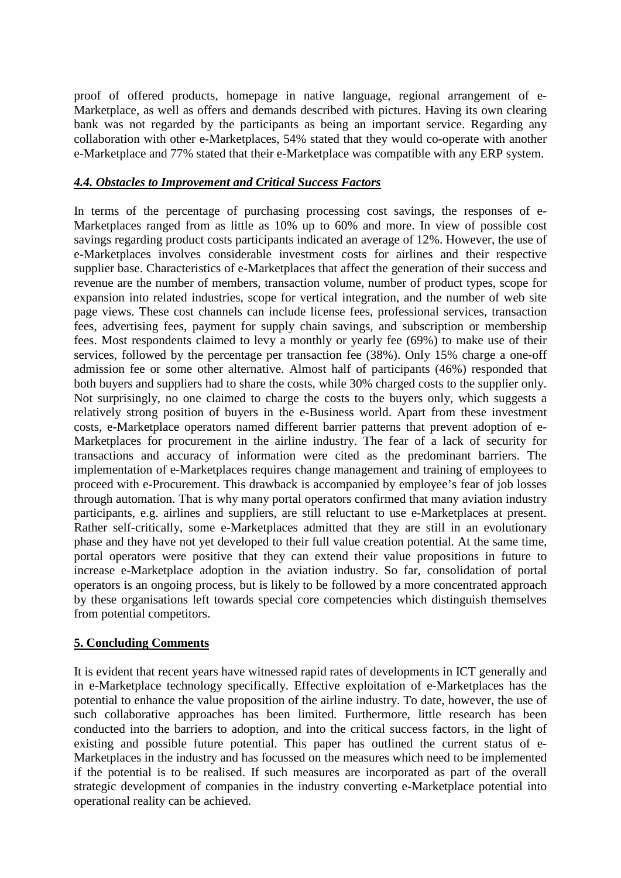proof of offered products, homepage in native language, regional arrangement of e-Marketplace, as well as offers and demands described with pictures. Having its own clearing bank was not regarded by the participants as being an important service. Regarding any collaboration with other e-Marketplaces, 54% stated that they would co-operate with another e-Marketplace and 77% stated that their e-Marketplace was compatible with any ERP system.

#### *4.4. Obstacles to Improvement and Critical Success Factors*

In terms of the percentage of purchasing processing cost savings, the responses of e-Marketplaces ranged from as little as 10% up to 60% and more. In view of possible cost savings regarding product costs participants indicated an average of 12%. However, the use of e-Marketplaces involves considerable investment costs for airlines and their respective supplier base. Characteristics of e-Marketplaces that affect the generation of their success and revenue are the number of members, transaction volume, number of product types, scope for expansion into related industries, scope for vertical integration, and the number of web site page views. These cost channels can include license fees, professional services, transaction fees, advertising fees, payment for supply chain savings, and subscription or membership fees. Most respondents claimed to levy a monthly or yearly fee (69%) to make use of their services, followed by the percentage per transaction fee (38%). Only 15% charge a one-off admission fee or some other alternative. Almost half of participants (46%) responded that both buyers and suppliers had to share the costs, while 30% charged costs to the supplier only. Not surprisingly, no one claimed to charge the costs to the buyers only, which suggests a relatively strong position of buyers in the e-Business world. Apart from these investment costs, e-Marketplace operators named different barrier patterns that prevent adoption of e-Marketplaces for procurement in the airline industry. The fear of a lack of security for transactions and accuracy of information were cited as the predominant barriers. The implementation of e-Marketplaces requires change management and training of employees to proceed with e-Procurement. This drawback is accompanied by employee's fear of job losses through automation. That is why many portal operators confirmed that many aviation industry participants, e.g. airlines and suppliers, are still reluctant to use e-Marketplaces at present. Rather self-critically, some e-Marketplaces admitted that they are still in an evolutionary phase and they have not yet developed to their full value creation potential. At the same time, portal operators were positive that they can extend their value propositions in future to increase e-Marketplace adoption in the aviation industry. So far, consolidation of portal operators is an ongoing process, but is likely to be followed by a more concentrated approach by these organisations left towards special core competencies which distinguish themselves from potential competitors.

## **5. Concluding Comments**

It is evident that recent years have witnessed rapid rates of developments in ICT generally and in e-Marketplace technology specifically. Effective exploitation of e-Marketplaces has the potential to enhance the value proposition of the airline industry. To date, however, the use of such collaborative approaches has been limited. Furthermore, little research has been conducted into the barriers to adoption, and into the critical success factors, in the light of existing and possible future potential. This paper has outlined the current status of e-Marketplaces in the industry and has focussed on the measures which need to be implemented if the potential is to be realised. If such measures are incorporated as part of the overall strategic development of companies in the industry converting e-Marketplace potential into operational reality can be achieved.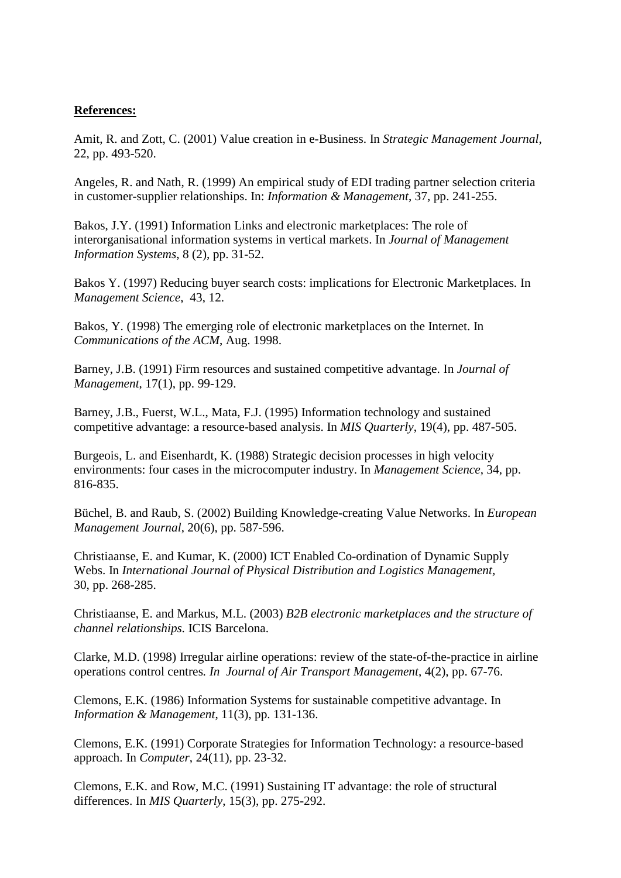#### **References:**

Amit, R. and Zott, C. (2001) Value creation in e-Business. In *Strategic Management Journal*, 22, pp. 493-520.

Angeles, R. and Nath, R. (1999) An empirical study of EDI trading partner selection criteria in customer-supplier relationships. In: *Information & Management*, 37, pp. 241-255.

Bakos, J.Y. (1991) Information Links and electronic marketplaces: The role of interorganisational information systems in vertical markets. In *Journal of Management Information Systems*, 8 (2), pp. 31-52.

Bakos Y. (1997) Reducing buyer search costs: implications for Electronic Marketplaces*.* In *Management Science*, 43, 12.

Bakos, Y. (1998) The emerging role of electronic marketplaces on the Internet. In *Communications of the ACM*, Aug. 1998.

Barney, J.B. (1991) Firm resources and sustained competitive advantage. In *Journal of Management*, 17(1), pp. 99-129.

Barney, J.B., Fuerst, W.L., Mata, F.J. (1995) Information technology and sustained competitive advantage: a resource-based analysis. In *MIS Quarterly*, 19(4), pp. 487-505.

Burgeois, L. and Eisenhardt, K. (1988) Strategic decision processes in high velocity environments: four cases in the microcomputer industry. In *Management Science*, 34, pp. 816-835.

Büchel, B. and Raub, S. (2002) Building Knowledge-creating Value Networks. In *[European](http://www.sciencedirect.com/science?_ob=JournalURL&_cdi=5907&_auth=y&_acct=C000050221&_version=1&_urlVersion=0&_userid=10&md5=2461fb87e994809e4d9a017cd9b0d992)  [Management Journal](http://www.sciencedirect.com/science?_ob=JournalURL&_cdi=5907&_auth=y&_acct=C000050221&_version=1&_urlVersion=0&_userid=10&md5=2461fb87e994809e4d9a017cd9b0d992)*, 20(6), pp. 587-596.

Christiaanse, E. and Kumar, K. (2000) ICT Enabled Co-ordination of Dynamic Supply Webs. In *International Journal of Physical Distribution and Logistics Management,* 30, pp. 268-285.

Christiaanse, E. and Markus, M.L. (2003) *B2B electronic marketplaces and the structure of channel relationships.* ICIS Barcelona.

Clarke, M.D. (1998) Irregular airline operations: review of the state-of-the-practice in airline operations control centres*. In Journal of Air Transport Management*, 4(2), pp. 67-76.

Clemons, E.K. (1986) Information Systems for sustainable competitive advantage. In *Information & Management*, 11(3), pp. 131-136.

Clemons, E.K. (1991) Corporate Strategies for Information Technology: a resource-based approach. In *Computer*, 24(11), pp. 23-32.

Clemons, E.K. and Row, M.C. (1991) Sustaining IT advantage: the role of structural differences. In *MIS Quarterly*, 15(3), pp. 275-292.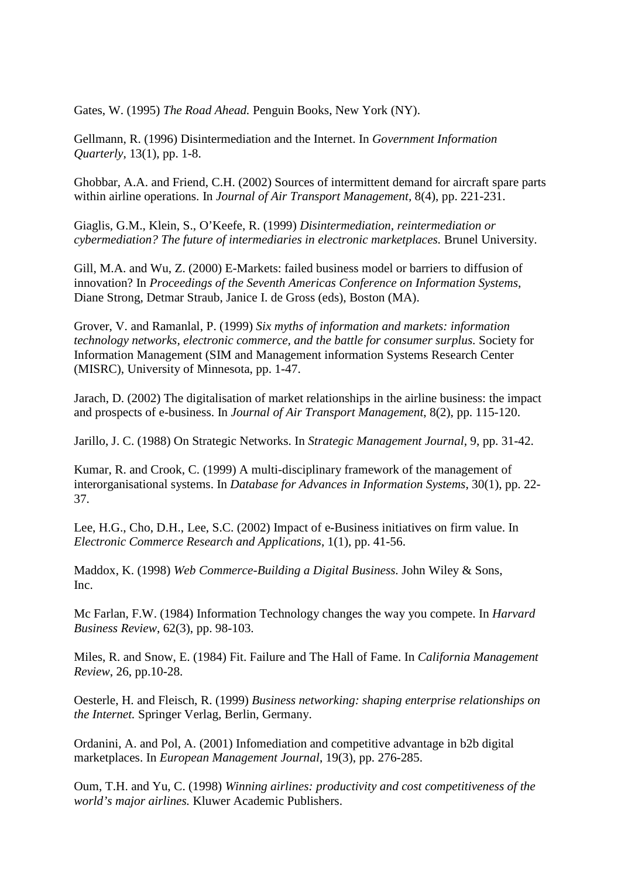Gates, W. (1995) *The Road Ahead.* Penguin Books, New York (NY).

Gellmann, R. (1996) Disintermediation and the Internet. In *Government Information Quarterly*, 13(1), pp. 1-8.

Ghobbar, A.A. and Friend, C.H. (2002) Sources of intermittent demand for aircraft spare parts within airline operations. In *[Journal of Air Transport Management,](http://www.sciencedirect.com/science?_ob=JournalURL&_cdi=6044&_auth=y&_acct=C000050221&_version=1&_urlVersion=0&_userid=10&md5=a5be662b20181214ebe1ae53e173c068)* 8(4), pp. 221-231.

Giaglis, G.M., Klein, S., O'Keefe, R. (1999) *Disintermediation, reintermediation or cybermediation? The future of intermediaries in electronic marketplaces.* Brunel University.

Gill, M.A. and Wu, Z. (2000) E-Markets: failed business model or barriers to diffusion of innovation? In *Proceedings of the Seventh Americas Conference on Information Systems*, Diane Strong, Detmar Straub, Janice I. de Gross (eds), Boston (MA).

Grover, V. and Ramanlal, P. (1999) *Six myths of information and markets: information technology networks, electronic commerce, and the battle for consumer surplus.* Society for Information Management (SIM and Management information Systems Research Center (MISRC), University of Minnesota, pp. 1-47.

Jarach, D. (2002) The digitalisation of market relationships in the airline business: the impact and prospects of e-business. In *[Journal of Air Transport Management](http://www.sciencedirect.com/science?_ob=JournalURL&_cdi=6044&_auth=y&_acct=C000050221&_version=1&_urlVersion=0&_userid=10&md5=a5be662b20181214ebe1ae53e173c068)*, 8(2), pp. 115-120.

Jarillo, J. C. (1988) On Strategic Networks. In *Strategic Management Journal*, 9, pp. 31-42.

Kumar, R. and Crook, C. (1999) A multi-disciplinary framework of the management of interorganisational systems. In *Database for Advances in Information Systems*, 30(1), pp. 22- 37.

Lee, H.G., Cho, D.H., Lee, S.C. (2002) Impact of e-Business initiatives on firm value. In *[Electronic Commerce Research and Applications](http://www.sciencedirect.com/science?_ob=JournalURL&_cdi=7329&_auth=y&_acct=C000050221&_version=1&_urlVersion=0&_userid=10&md5=88c36eb28efa064dabe46c704b5d643a)*, 1(1), pp. 41-56.

Maddox, K. (1998) *Web Commerce-Building a Digital Business.* John Wiley & Sons, Inc.

Mc Farlan, F.W. (1984) Information Technology changes the way you compete. In *Harvard Business Review*, 62(3), pp. 98-103.

Miles, R. and Snow, E. (1984) Fit. Failure and The Hall of Fame. In *California Management Review*, 26, pp.10-28.

Oesterle, H. and Fleisch, R. (1999) *Business networking: shaping enterprise relationships on the Internet.* Springer Verlag, Berlin, Germany.

Ordanini, A. and Pol, A. (2001) Infomediation and competitive advantage in b2b digital marketplaces. In *[European Management Journal](http://www.sciencedirect.com/science?_ob=JournalURL&_cdi=5907&_auth=y&_acct=C000050221&_version=1&_urlVersion=0&_userid=10&md5=2461fb87e994809e4d9a017cd9b0d992)*, 19(3), pp. 276-285.

Oum, T.H. and Yu, C. (1998) *Winning airlines: productivity and cost competitiveness of the world's major airlines.* Kluwer Academic Publishers.